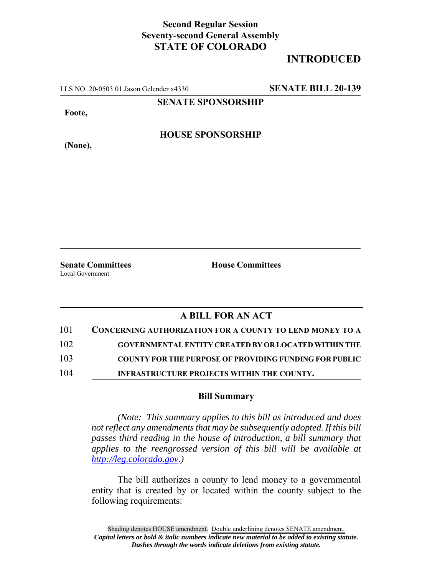## **Second Regular Session Seventy-second General Assembly STATE OF COLORADO**

## **INTRODUCED**

LLS NO. 20-0503.01 Jason Gelender x4330 **SENATE BILL 20-139**

**SENATE SPONSORSHIP**

**Foote,**

**(None),**

**HOUSE SPONSORSHIP**

**Senate Committees House Committees** 

Local Government

## **A BILL FOR AN ACT**

| 101 | <b>CONCERNING AUTHORIZATION FOR A COUNTY TO LEND MONEY TO A</b> |
|-----|-----------------------------------------------------------------|
| 102 | <b>GOVERNMENTAL ENTITY CREATED BY OR LOCATED WITHIN THE</b>     |
| 103 | <b>COUNTY FOR THE PURPOSE OF PROVIDING FUNDING FOR PUBLIC</b>   |
| 104 | INFRASTRUCTURE PROJECTS WITHIN THE COUNTY.                      |

## **Bill Summary**

*(Note: This summary applies to this bill as introduced and does not reflect any amendments that may be subsequently adopted. If this bill passes third reading in the house of introduction, a bill summary that applies to the reengrossed version of this bill will be available at http://leg.colorado.gov.)*

The bill authorizes a county to lend money to a governmental entity that is created by or located within the county subject to the following requirements: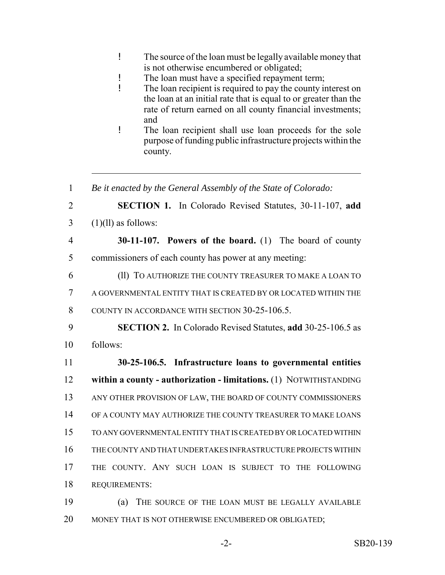| The source of the loan must be legally available money that |
|-------------------------------------------------------------|
| is not otherwise encumbered or obligated;                   |

- ! The loan must have a specified repayment term;
- ! The loan recipient is required to pay the county interest on the loan at an initial rate that is equal to or greater than the rate of return earned on all county financial investments; and
- ! The loan recipient shall use loan proceeds for the sole purpose of funding public infrastructure projects within the county.
- 1 *Be it enacted by the General Assembly of the State of Colorado:* 2 **SECTION 1.** In Colorado Revised Statutes, 30-11-107, **add**  $3 \quad (1)(11)$  as follows: 4 **30-11-107. Powers of the board.** (1) The board of county 5 commissioners of each county has power at any meeting: 6 (ll) TO AUTHORIZE THE COUNTY TREASURER TO MAKE A LOAN TO 7 A GOVERNMENTAL ENTITY THAT IS CREATED BY OR LOCATED WITHIN THE 8 COUNTY IN ACCORDANCE WITH SECTION 30-25-106.5. 9 **SECTION 2.** In Colorado Revised Statutes, **add** 30-25-106.5 as 10 follows: 11 **30-25-106.5. Infrastructure loans to governmental entities** 12 **within a county - authorization - limitations.** (1) NOTWITHSTANDING 13 ANY OTHER PROVISION OF LAW, THE BOARD OF COUNTY COMMISSIONERS 14 OF A COUNTY MAY AUTHORIZE THE COUNTY TREASURER TO MAKE LOANS 15 TO ANY GOVERNMENTAL ENTITY THAT IS CREATED BY OR LOCATED WITHIN 16 THE COUNTY AND THAT UNDERTAKES INFRASTRUCTURE PROJECTS WITHIN 17 THE COUNTY. ANY SUCH LOAN IS SUBJECT TO THE FOLLOWING 18 REQUIREMENTS: 19 (a) THE SOURCE OF THE LOAN MUST BE LEGALLY AVAILABLE
- 20 MONEY THAT IS NOT OTHERWISE ENCUMBERED OR OBLIGATED;